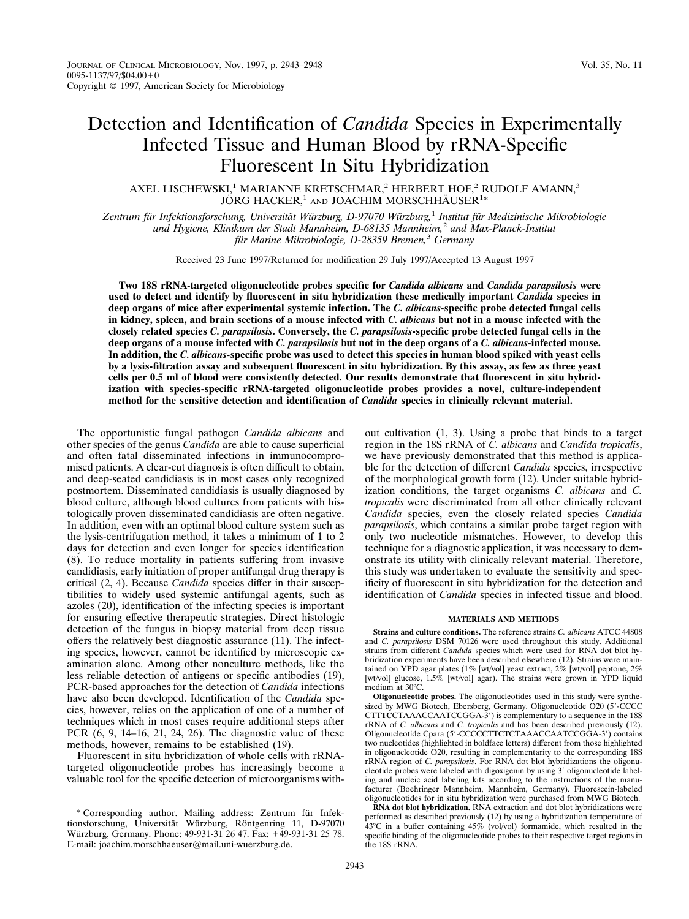# Detection and Identification of *Candida* Species in Experimentally Infected Tissue and Human Blood by rRNA-Specific Fluorescent In Situ Hybridization

AXEL LISCHEWSKI,<sup>1</sup> MARIANNE KRETSCHMAR,<sup>2</sup> HERBERT HOF,<sup>2</sup> RUDOLF AMANN,<sup>3</sup> JÖRG HACKER, $^1$  and JOACHIM MORSCHHÄUSER $^{1\ast}$ 

*Zentrum fu¨r Infektionsforschung, Universita¨t Wu¨rzburg, D-97070 Wu¨rzburg,*<sup>1</sup> *Institut fu¨r Medizinische Mikrobiologie und Hygiene, Klinikum der Stadt Mannheim, D-68135 Mannheim,*<sup>2</sup> *and Max-Planck-Institut fu¨r Marine Mikrobiologie, D-28359 Bremen,*<sup>3</sup> *Germany*

Received 23 June 1997/Returned for modification 29 July 1997/Accepted 13 August 1997

**Two 18S rRNA-targeted oligonucleotide probes specific for** *Candida albicans* **and** *Candida parapsilosis* **were used to detect and identify by fluorescent in situ hybridization these medically important** *Candida* **species in deep organs of mice after experimental systemic infection. The** *C. albicans***-specific probe detected fungal cells in kidney, spleen, and brain sections of a mouse infected with** *C. albicans* **but not in a mouse infected with the closely related species** *C. parapsilosis***. Conversely, the** *C. parapsilosis***-specific probe detected fungal cells in the deep organs of a mouse infected with** *C. parapsilosis* **but not in the deep organs of a** *C. albicans***-infected mouse. In addition, the** *C. albicans***-specific probe was used to detect this species in human blood spiked with yeast cells by a lysis-filtration assay and subsequent fluorescent in situ hybridization. By this assay, as few as three yeast cells per 0.5 ml of blood were consistently detected. Our results demonstrate that fluorescent in situ hybridization with species-specific rRNA-targeted oligonucleotide probes provides a novel, culture-independent method for the sensitive detection and identification of** *Candida* **species in clinically relevant material.**

The opportunistic fungal pathogen *Candida albicans* and other species of the genus *Candida* are able to cause superficial and often fatal disseminated infections in immunocompromised patients. A clear-cut diagnosis is often difficult to obtain, and deep-seated candidiasis is in most cases only recognized postmortem. Disseminated candidiasis is usually diagnosed by blood culture, although blood cultures from patients with histologically proven disseminated candidiasis are often negative. In addition, even with an optimal blood culture system such as the lysis-centrifugation method, it takes a minimum of 1 to 2 days for detection and even longer for species identification (8). To reduce mortality in patients suffering from invasive candidiasis, early initiation of proper antifungal drug therapy is critical (2, 4). Because *Candida* species differ in their susceptibilities to widely used systemic antifungal agents, such as azoles (20), identification of the infecting species is important for ensuring effective therapeutic strategies. Direct histologic detection of the fungus in biopsy material from deep tissue offers the relatively best diagnostic assurance (11). The infecting species, however, cannot be identified by microscopic examination alone. Among other nonculture methods, like the less reliable detection of antigens or specific antibodies (19), PCR-based approaches for the detection of *Candida* infections have also been developed. Identification of the *Candida* species, however, relies on the application of one of a number of techniques which in most cases require additional steps after PCR (6, 9, 14–16, 21, 24, 26). The diagnostic value of these methods, however, remains to be established (19).

Fluorescent in situ hybridization of whole cells with rRNAtargeted oligonucleotide probes has increasingly become a valuable tool for the specific detection of microorganisms without cultivation (1, 3). Using a probe that binds to a target region in the 18S rRNA of *C. albicans* and *Candida tropicalis*, we have previously demonstrated that this method is applicable for the detection of different *Candida* species, irrespective of the morphological growth form (12). Under suitable hybridization conditions, the target organisms *C. albicans* and *C. tropicalis* were discriminated from all other clinically relevant *Candida* species, even the closely related species *Candida parapsilosis*, which contains a similar probe target region with only two nucleotide mismatches. However, to develop this technique for a diagnostic application, it was necessary to demonstrate its utility with clinically relevant material. Therefore, this study was undertaken to evaluate the sensitivity and specificity of fluorescent in situ hybridization for the detection and identification of *Candida* species in infected tissue and blood.

## **MATERIALS AND METHODS**

**Strains and culture conditions.** The reference strains *C. albicans* ATCC 44808 and *C. parapsilosis* DSM 70126 were used throughout this study. Additional strains from different *Candida* species which were used for RNA dot blot hybridization experiments have been described elsewhere (12). Strains were maintained on YPD agar plates (1% [wt/vol] yeast extract, 2% [wt/vol] peptone, 2% [wt/vol] glucose, 1.5% [wt/vol] agar). The strains were grown in YPD liquid medium at 30°C.

**Oligonucleotide probes.** The oligonucleotides used in this study were synthesized by MWG Biotech, Ebersberg, Germany. Oligonucleotide O20 (5'-CCCC CTTTCCTAAACCAATCCGGA-3') is complementary to a sequence in the 18S rRNA of *C. albicans* and *C. tropicalis* and has been described previously (12). Oligonucleotide Cpara (5'-CCCCCTTCTCTAAACCAATCCGGA-3') contains two nucleotides (highlighted in boldface letters) different from those highlighted in oligonucleotide O20, resulting in complementarity to the corresponding 18S rRNA region of *C. parapsilosis*. For RNA dot blot hybridizations the oligonucleotide probes were labeled with digoxigenin by using 3' oligonucleotide labeling and nucleic acid labeling kits according to the instructions of the manufacturer (Boehringer Mannheim, Mannheim, Germany). Fluorescein-labeled oligonucleotides for in situ hybridization were purchased from MWG Biotech.

**RNA dot blot hybridization.** RNA extraction and dot blot hybridizations were performed as described previously (12) by using a hybridization temperature of 43°C in a buffer containing 45% (vol/vol) formamide, which resulted in the specific binding of the oligonucleotide probes to their respective target regions in the 18S rRNA

<sup>\*</sup> Corresponding author. Mailing address: Zentrum für Infektionsforschung, Universität Würzburg, Röntgenring 11, D-97070 Würzburg, Germany. Phone: 49-931-31 26 47. Fax: +49-931-31 25 78. E-mail: joachim.morschhaeuser@mail.uni-wuerzburg.de.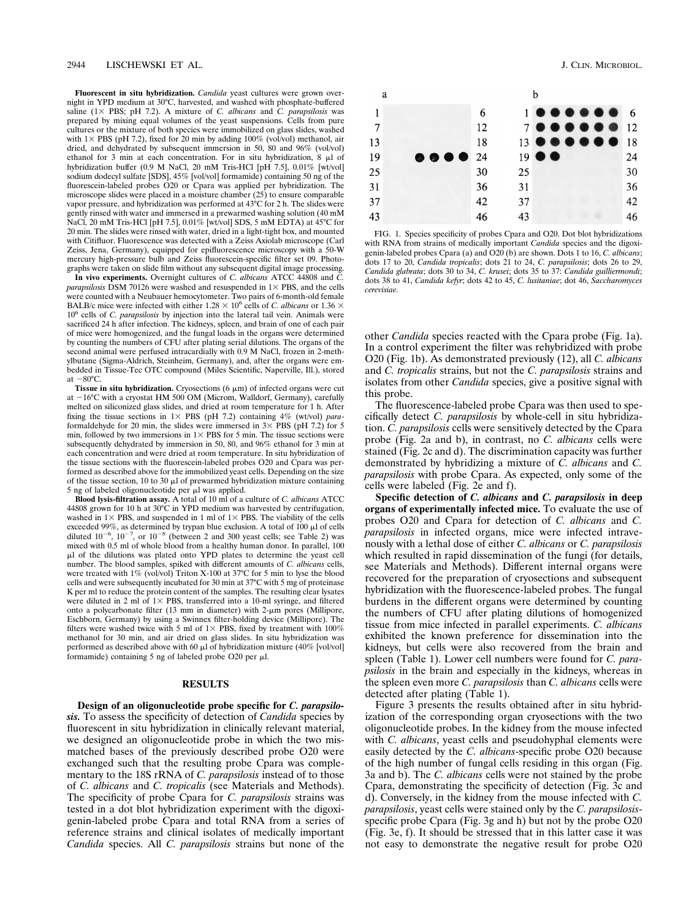**Fluorescent in situ hybridization.** *Candida* yeast cultures were grown overnight in YPD medium at 30°C, harvested, and washed with phosphate-buffered saline (13 PBS; pH 7.2). A mixture of *C. albicans* and *C. parapsilosis* was prepared by mixing equal volumes of the yeast suspensions. Cells from pure cultures or the mixture of both species were immobilized on glass slides, washed with  $1\times$  PBS (pH 7.2), fixed for 20 min by adding 100% (vol/vol) methanol, air dried, and dehydrated by subsequent immersion in 50, 80 and 96% (vol/vol) ethanol for 3 min at each concentration. For in situ hybridization, 8 ml of hybridization buffer (0.9 M NaCl, 20 mM Tris-HCl [pH 7.5], 0.01% [wt/vol] sodium dodecyl sulfate [SDS], 45% [vol/vol] formamide) containing 50 ng of the fluorescein-labeled probes O20 or Cpara was applied per hybridization. The microscope slides were placed in a moisture chamber (25) to ensure comparable vapor pressure, and hybridization was performed at 43°C for 2 h. The slides were gently rinsed with water and immersed in a prewarmed washing solution (40 mM NaCl, 20 mM Tris-HCl [pH 7.5], 0.01% [wt/vol] SDS, 5 mM EDTA) at 45°C for 20 min. The slides were rinsed with water, dried in a light-tight box, and mounted with Citifluor. Fluorescence was detected with a Zeiss Axiolab microscope (Carl Zeiss, Jena, Germany), equipped for epifluorescence microscopy with a 50-W mercury high-pressure bulb and Zeiss fluorescein-specific filter set 09. Photographs were taken on slide film without any subsequent digital image processing.

**In vivo experiments.** Overnight cultures of *C. albicans* ATCC 44808 and *C. parapsilosis* DSM 70126 were washed and resuspended in  $1\times$  PBS, and the cells were counted with a Neubauer hemocytometer. Two pairs of 6-month-old female BALB/c mice were infected with either  $1.28 \times 10^6$  cells of *C. albicans* or  $1.36 \times$ 10<sup>6</sup> cells of *C. parapsilosis* by injection into the lateral tail vein. Animals were sacrificed 24 h after infection. The kidneys, spleen, and brain of one of each pair of mice were homogenized, and the fungal loads in the organs were determined by counting the numbers of CFU after plating serial dilutions. The organs of the second animal were perfused intracardially with 0.9 M NaCl, frozen in 2-methylbutane (Sigma-Aldrich, Steinheim, Germany), and, after the organs were embedded in Tissue-Tec OTC compound (Miles Scientific, Naperville, Ill.), stored at  $-80^{\circ}$ C.

**Tissue in situ hybridization.** Cryosections  $(6 \mu m)$  of infected organs were cut at  $-16^{\circ}$ C with a cryostat HM 500 OM (Microm, Walldorf, Germany), carefully melted on siliconized glass slides, and dried at room temperature for 1 h. After fixing the tissue sections in  $1 \times$  PBS (pH 7.2) containing 4% (wt/vol) *para*formaldehyde for 20 min, the slides were immersed in  $3 \times$  PBS (pH 7.2) for 5 min, followed by two immersions in  $1\times$  PBS for 5 min. The tissue sections were subsequently dehydrated by immersion in 50, 80, and 96% ethanol for 3 min at each concentration and were dried at room temperature. In situ hybridization of the tissue sections with the fluorescein-labeled probes O20 and Cpara was performed as described above for the immobilized yeast cells. Depending on the size of the tissue section, 10 to 30  $\mu$ l of prewarmed hybridization mixture containing 5 ng of labeled oligonucleotide per µl was applied.

**Blood lysis-filtration assay.** A total of 10 ml of a culture of *C. albicans* ATCC 44808 grown for 10 h at 30°C in YPD medium was harvested by centrifugation, washed in  $1\times$  PBS, and suspended in 1 ml of  $1\times$  PBS. The viability of the cells exceeded 99%, as determined by trypan blue exclusion. A total of  $100 \mu$ l of cells diluted  $10^{-6}$ ,  $10^{-7}$ , or  $10^{-8}$  (between 2 and 300 yeast cells; see Table 2) was mixed with 0.5 ml of whole blood from a healthy human donor. In parallel, 100 ml of the dilutions was plated onto YPD plates to determine the yeast cell number. The blood samples, spiked with different amounts of *C. albicans* cells, were treated with  $1\%$  (vol/vol) Triton X-100 at 37°C for 5 min to lyse the blood cells and were subsequently incubated for 30 min at 37°C with 5 mg of proteinase K per ml to reduce the protein content of the samples. The resulting clear lysates were diluted in 2 ml of  $1\times$  PBS, transferred into a 10-ml syringe, and filtered onto a polycarbonate filter (13 mm in diameter) with  $2\text{-}\mu\text{m}$  pores (Millipore, Eschborn, Germany) by using a Swinnex filter-holding device (Millipore). The filters were washed twice with 5 ml of  $1 \times$  PBS, fixed by treatment with  $100\%$ methanol for 30 min, and air dried on glass slides. In situ hybridization was performed as described above with 60  $\mu$ l of hybridization mixture (40% [vol/vol] formamide) containing 5 ng of labeled probe O20 per  $\mu$ l.

# **RESULTS**

**Design of an oligonucleotide probe specific for** *C. parapsilosis.* To assess the specificity of detection of *Candida* species by fluorescent in situ hybridization in clinically relevant material, we designed an oligonucleotide probe in which the two mismatched bases of the previously described probe O20 were exchanged such that the resulting probe Cpara was complementary to the 18S rRNA of *C. parapsilosis* instead of to those of *C. albicans* and *C. tropicalis* (see Materials and Methods). The specificity of probe Cpara for *C. parapsilosis* strains was tested in a dot blot hybridization experiment with the digoxigenin-labeled probe Cpara and total RNA from a series of reference strains and clinical isolates of medically important *Candida* species. All *C. parapsilosis* strains but none of the



FIG. 1. Species specificity of probes Cpara and O20. Dot blot hybridizations with RNA from strains of medically important *Candida* species and the digoxigenin-labeled probes Cpara (a) and O20 (b) are shown. Dots 1 to 16, *C. albicans*; dots 17 to 20, *Candida tropicalis*; dots 21 to 24, *C. parapsilosis*; dots 26 to 29, *Candida glabrata*; dots 30 to 34, *C. krusei*; dots 35 to 37: *Candida guilliermondi*; dots 38 to 41, *Candida kefyr*; dots 42 to 45, *C. lusitaniae*; dot 46, *Saccharomyces cerevisiae.*

other *Candida* species reacted with the Cpara probe (Fig. 1a). In a control experiment the filter was rehybridized with probe O20 (Fig. 1b). As demonstrated previously (12), all *C. albicans* and *C. tropicalis* strains, but not the *C. parapsilosis* strains and isolates from other *Candida* species, give a positive signal with this probe.

The fluorescence-labeled probe Cpara was then used to specifically detect *C. parapsilosis* by whole-cell in situ hybridization. *C. parapsilosis* cells were sensitively detected by the Cpara probe (Fig. 2a and b), in contrast, no *C. albicans* cells were stained (Fig. 2c and d). The discrimination capacity was further demonstrated by hybridizing a mixture of *C. albicans* and *C. parapsilosis* with probe Cpara. As expected, only some of the cells were labeled (Fig. 2e and f).

**Specific detection of** *C. albicans* **and** *C. parapsilosis* **in deep organs of experimentally infected mice.** To evaluate the use of probes O20 and Cpara for detection of *C. albicans* and *C. parapsilosis* in infected organs, mice were infected intravenously with a lethal dose of either *C. albicans* or *C. parapsilosis* which resulted in rapid dissemination of the fungi (for details, see Materials and Methods). Different internal organs were recovered for the preparation of cryosections and subsequent hybridization with the fluorescence-labeled probes. The fungal burdens in the different organs were determined by counting the numbers of CFU after plating dilutions of homogenized tissue from mice infected in parallel experiments. *C. albicans* exhibited the known preference for dissemination into the kidneys, but cells were also recovered from the brain and spleen (Table 1). Lower cell numbers were found for *C. parapsilosis* in the brain and especially in the kidneys, whereas in the spleen even more *C. parapsilosis* than *C. albicans* cells were detected after plating (Table 1).

Figure 3 presents the results obtained after in situ hybridization of the corresponding organ cryosections with the two oligonucleotide probes. In the kidney from the mouse infected with *C. albicans*, yeast cells and pseudohyphal elements were easily detected by the *C. albicans*-specific probe O20 because of the high number of fungal cells residing in this organ (Fig. 3a and b). The *C. albicans* cells were not stained by the probe Cpara, demonstrating the specificity of detection (Fig. 3c and d). Conversely, in the kidney from the mouse infected with *C. parapsilosis*, yeast cells were stained only by the *C. parapsilosis*specific probe Cpara (Fig. 3g and h) but not by the probe O20 (Fig. 3e, f). It should be stressed that in this latter case it was not easy to demonstrate the negative result for probe O20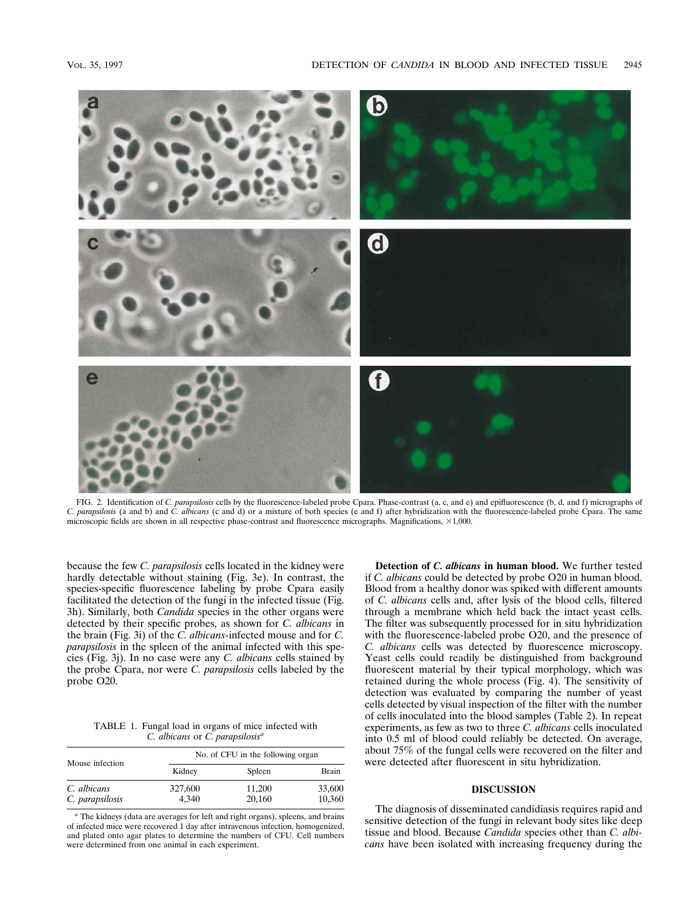

FIG. 2. Identification of *C. parapsilosis* cells by the fluorescence-labeled probe Cpara. Phase-contrast (a, c, and e) and epifluorescence (b, d, and f) micrographs of *C. parapsilosis* (a and b) and *C. albicans* (c and d) or a mixture of both species (e and f) after hybridization with the fluorescence-labeled probe Cpara. The same microscopic fields are shown in all respective phase-contrast and fluorescence micrographs. Magnifications,  $\times$ 1,000.

because the few *C. parapsilosis* cells located in the kidney were hardly detectable without staining (Fig. 3e). In contrast, the species-specific fluorescence labeling by probe Cpara easily facilitated the detection of the fungi in the infected tissue (Fig. 3h). Similarly, both *Candida* species in the other organs were detected by their specific probes, as shown for *C. albicans* in the brain (Fig. 3i) of the *C. albicans*-infected mouse and for *C. parapsilosis* in the spleen of the animal infected with this species (Fig. 3j). In no case were any *C. albicans* cells stained by the probe Cpara, nor were *C. parapsilosis* cells labeled by the probe O20.

TABLE 1. Fungal load in organs of mice infected with *C. albicans* or *C. parapsilosis<sup>a</sup>*

| Mouse infection                | No. of CFU in the following organ |                  |                  |  |
|--------------------------------|-----------------------------------|------------------|------------------|--|
|                                | Kidney                            | Spleen           | Brain            |  |
| C. albicans<br>C. parapsilosis | 327,600<br>4.340                  | 11.200<br>20,160 | 33,600<br>10,360 |  |

*<sup>a</sup>* The kidneys (data are averages for left and right organs), spleens, and brains of infected mice were recovered 1 day after intravenous infection, homogenized, and plated onto agar plates to determine the numbers of CFU. Cell numbers were determined from one animal in each experiment.

**Detection of** *C. albicans* **in human blood.** We further tested if *C. albicans* could be detected by probe O20 in human blood. Blood from a healthy donor was spiked with different amounts of *C. albicans* cells and, after lysis of the blood cells, filtered through a membrane which held back the intact yeast cells. The filter was subsequently processed for in situ hybridization with the fluorescence-labeled probe O20, and the presence of *C. albicans* cells was detected by fluorescence microscopy. Yeast cells could readily be distinguished from background fluorescent material by their typical morphology, which was retained during the whole process (Fig. 4). The sensitivity of detection was evaluated by comparing the number of yeast cells detected by visual inspection of the filter with the number of cells inoculated into the blood samples (Table 2). In repeat experiments, as few as two to three *C. albicans* cells inoculated into 0.5 ml of blood could reliably be detected. On average, about 75% of the fungal cells were recovered on the filter and were detected after fluorescent in situ hybridization.

### **DISCUSSION**

The diagnosis of disseminated candidiasis requires rapid and sensitive detection of the fungi in relevant body sites like deep tissue and blood. Because *Candida* species other than *C. albicans* have been isolated with increasing frequency during the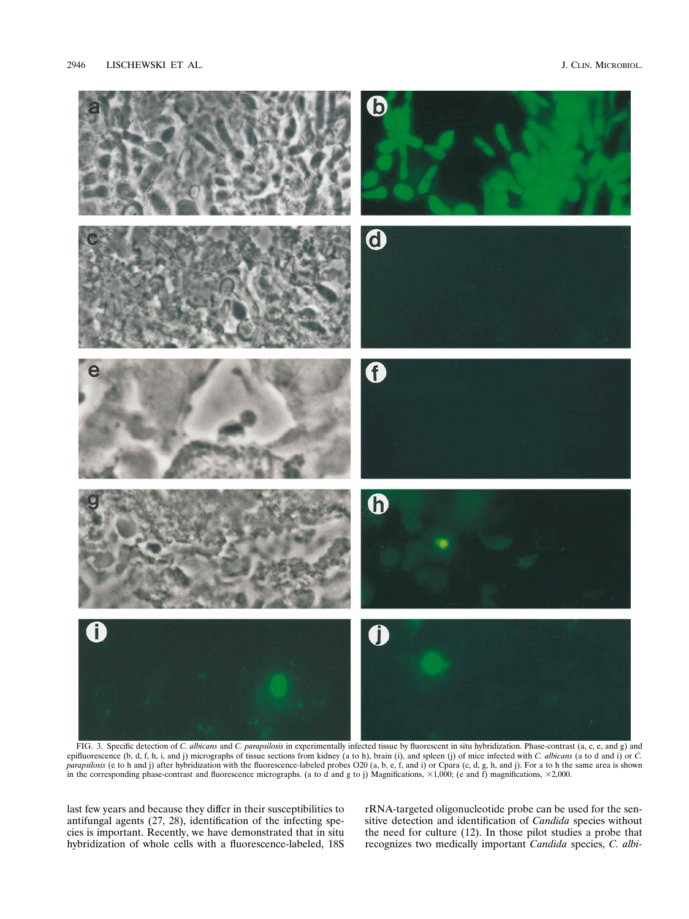

FIG. 3. Specific detection of *C. albicans* and *C. parapsilosis* in experimentally infected tissue by fluorescent in situ hybridization. Phase-contrast (a, c, e, and g) and epifluorescence (b, d, f, h, i, and j) micrographs of tissue sections from kidney (a to h), brain (i), and spleen (j) of mice infected with *C. albicans* (a to d and i) or *C. parapsilosis* (e to h and j) after hybridization with the fluorescence-labeled probes O20 (a, b, e, f, and i) or Cpara (c, d, g, h, and j). For a to h the same area is shown in the corresponding phase-contrast and fluorescence micrographs. (a to d and g to j) Magnifications,  $\times$ 1,000; (e and f) magnifications,  $\times$ 2,000.

last few years and because they differ in their susceptibilities to antifungal agents (27, 28), identification of the infecting species is important. Recently, we have demonstrated that in situ hybridization of whole cells with a fluorescence-labeled, 18S

rRNA-targeted oligonucleotide probe can be used for the sensitive detection and identification of *Candida* species without the need for culture (12). In those pilot studies a probe that recognizes two medically important *Candida* species, *C. albi-*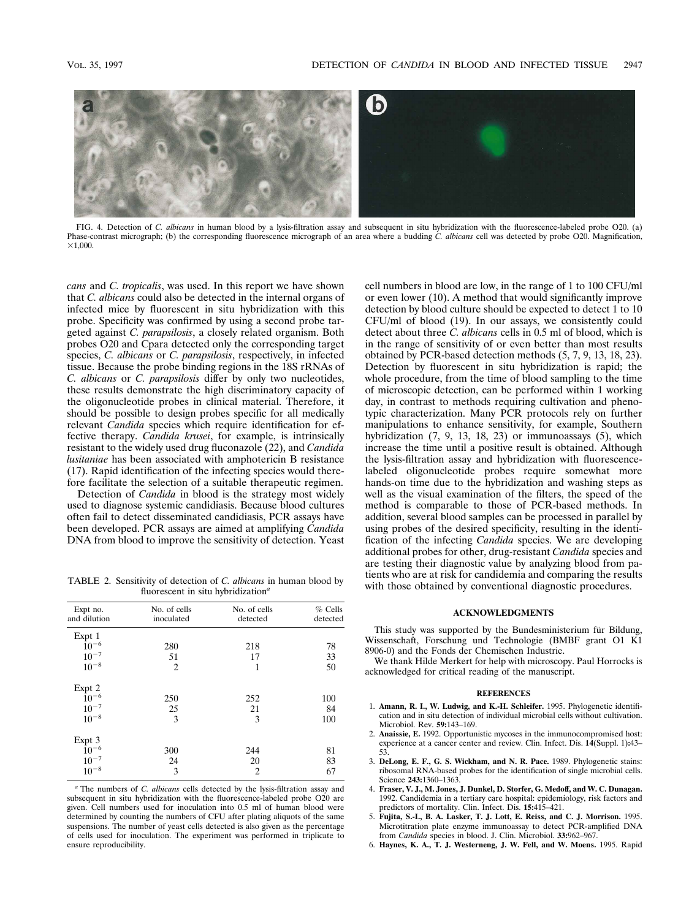

FIG. 4. Detection of *C. albicans* in human blood by a lysis-filtration assay and subsequent in situ hybridization with the fluorescence-labeled probe O20. (a) Phase-contrast micrograph; (b) the corresponding fluorescence micrograph of an area where a budding *C. albicans* cell was detected by probe O20. Magnification,  $\times1,000$ .

*cans* and *C. tropicalis*, was used. In this report we have shown that *C. albicans* could also be detected in the internal organs of infected mice by fluorescent in situ hybridization with this probe. Specificity was confirmed by using a second probe targeted against *C. parapsilosis*, a closely related organism. Both probes O20 and Cpara detected only the corresponding target species, *C. albicans* or *C. parapsilosis*, respectively, in infected tissue. Because the probe binding regions in the 18S rRNAs of *C. albicans* or *C. parapsilosis* differ by only two nucleotides, these results demonstrate the high discriminatory capacity of the oligonucleotide probes in clinical material. Therefore, it should be possible to design probes specific for all medically relevant *Candida* species which require identification for effective therapy. *Candida krusei*, for example, is intrinsically resistant to the widely used drug fluconazole (22), and *Candida lusitaniae* has been associated with amphotericin B resistance (17). Rapid identification of the infecting species would therefore facilitate the selection of a suitable therapeutic regimen.

Detection of *Candida* in blood is the strategy most widely used to diagnose systemic candidiasis. Because blood cultures often fail to detect disseminated candidiasis, PCR assays have been developed. PCR assays are aimed at amplifying *Candida* DNA from blood to improve the sensitivity of detection. Yeast

TABLE 2. Sensitivity of detection of *C. albicans* in human blood by fluorescent in situ hybridization*<sup>a</sup>*

| Expt no.<br>and dilution | No. of cells<br>inoculated | No. of cells<br>detected | $%$ Cells<br>detected |
|--------------------------|----------------------------|--------------------------|-----------------------|
| Expt 1                   |                            |                          |                       |
| $10^{-6}$                | 280                        | 218                      | 78                    |
| $10^{-7}$                | 51                         | 17                       | 33                    |
| $10^{-8}$                | $\overline{c}$             | 1                        | 50                    |
| Expt 2                   |                            |                          |                       |
| $10^{-6}$                | 250                        | 252                      | 100                   |
| $10^{-7}$                | 25                         | 21                       | 84                    |
| $10^{-8}$                | 3                          | 3                        | 100                   |
| Expt 3                   |                            |                          |                       |
| $10^{-6}$                | 300                        | 244                      | 81                    |
| $10^{-7}$                | 24                         | 20                       | 83                    |
| $10^{-8}\,$              | 3                          | 2                        | 67                    |
|                          |                            |                          |                       |

*<sup>a</sup>* The numbers of *C. albicans* cells detected by the lysis-filtration assay and subsequent in situ hybridization with the fluorescence-labeled probe O20 are given. Cell numbers used for inoculation into 0.5 ml of human blood were determined by counting the numbers of CFU after plating aliquots of the same suspensions. The number of yeast cells detected is also given as the percentage of cells used for inoculation. The experiment was performed in triplicate to ensure reproducibility.

cell numbers in blood are low, in the range of 1 to 100 CFU/ml or even lower (10). A method that would significantly improve detection by blood culture should be expected to detect 1 to 10 CFU/ml of blood (19). In our assays, we consistently could detect about three *C. albicans* cells in 0.5 ml of blood, which is in the range of sensitivity of or even better than most results obtained by PCR-based detection methods (5, 7, 9, 13, 18, 23). Detection by fluorescent in situ hybridization is rapid; the whole procedure, from the time of blood sampling to the time of microscopic detection, can be performed within 1 working day, in contrast to methods requiring cultivation and phenotypic characterization. Many PCR protocols rely on further manipulations to enhance sensitivity, for example, Southern hybridization (7, 9, 13, 18, 23) or immunoassays (5), which increase the time until a positive result is obtained. Although the lysis-filtration assay and hybridization with fluorescencelabeled oligonucleotide probes require somewhat more hands-on time due to the hybridization and washing steps as well as the visual examination of the filters, the speed of the method is comparable to those of PCR-based methods. In addition, several blood samples can be processed in parallel by using probes of the desired specificity, resulting in the identification of the infecting *Candida* species. We are developing additional probes for other, drug-resistant *Candida* species and are testing their diagnostic value by analyzing blood from patients who are at risk for candidemia and comparing the results with those obtained by conventional diagnostic procedures.

# **ACKNOWLEDGMENTS**

This study was supported by the Bundesministerium für Bildung, Wissenschaft, Forschung und Technologie (BMBF grant O1 K1 8906-0) and the Fonds der Chemischen Industrie.

We thank Hilde Merkert for help with microscopy. Paul Horrocks is acknowledged for critical reading of the manuscript.

#### **REFERENCES**

- 1. **Amann, R. I., W. Ludwig, and K.-H. Schleifer.** 1995. Phylogenetic identification and in situ detection of individual microbial cells without cultivation. Microbiol. Rev. **59:**143–169.
- 2. **Anaissie, E.** 1992. Opportunistic mycoses in the immunocompromised host: experience at a cancer center and review. Clin. Infect. Dis. **14**(Suppl. 1)**:**43– 53.
- 3. **DeLong, E. F., G. S. Wickham, and N. R. Pace.** 1989. Phylogenetic stains: ribosomal RNA-based probes for the identification of single microbial cells. Science **243:**1360–1363.
- 4. **Fraser, V. J., M. Jones, J. Dunkel, D. Storfer, G. Medoff, and W. C. Dunagan.** 1992. Candidemia in a tertiary care hospital: epidemiology, risk factors and predictors of mortality. Clin. Infect. Dis. **15:**415–421.
- 5. **Fujita, S.-I., B. A. Lasker, T. J. Lott, E. Reiss, and C. J. Morrison.** 1995. Microtitration plate enzyme immunoassay to detect PCR-amplified DNA from *Candida* species in blood. J. Clin. Microbiol. **33:**962–967.
- 6. **Haynes, K. A., T. J. Westerneng, J. W. Fell, and W. Moens.** 1995. Rapid